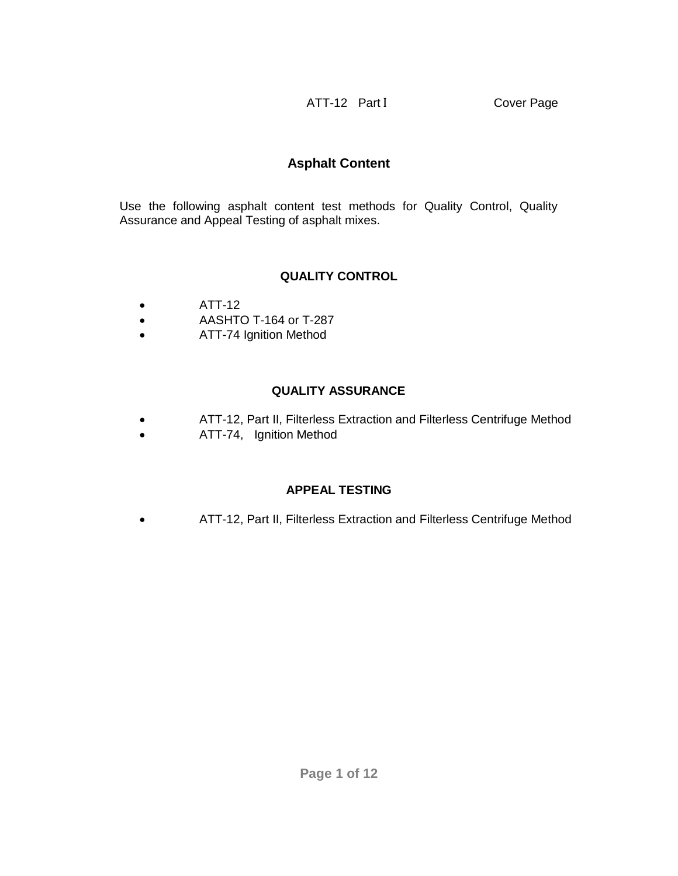ATT-12 Part I Cover Page

# **Asphalt Content**

Use the following asphalt content test methods for Quality Control, Quality Assurance and Appeal Testing of asphalt mixes.

## **QUALITY CONTROL**

- $\bullet$  ATT-12
- AASHTO T-164 or T-287
- ATT-74 Ignition Method

## **QUALITY ASSURANCE**

- ATT-12, Part II, Filterless Extraction and Filterless Centrifuge Method
- ATT-74, Ignition Method

## **APPEAL TESTING**

ATT-12, Part II, Filterless Extraction and Filterless Centrifuge Method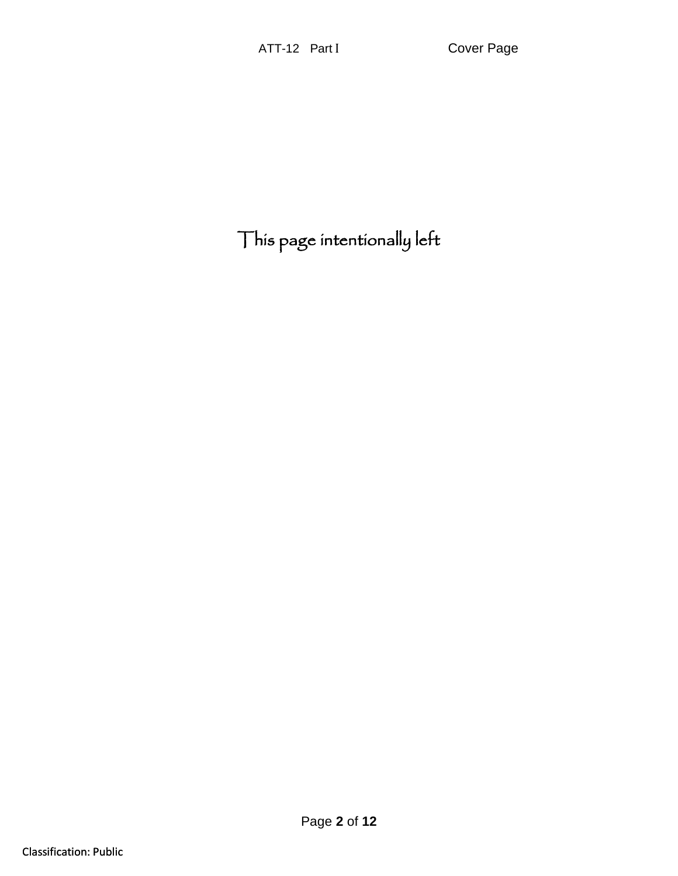This page intentionally left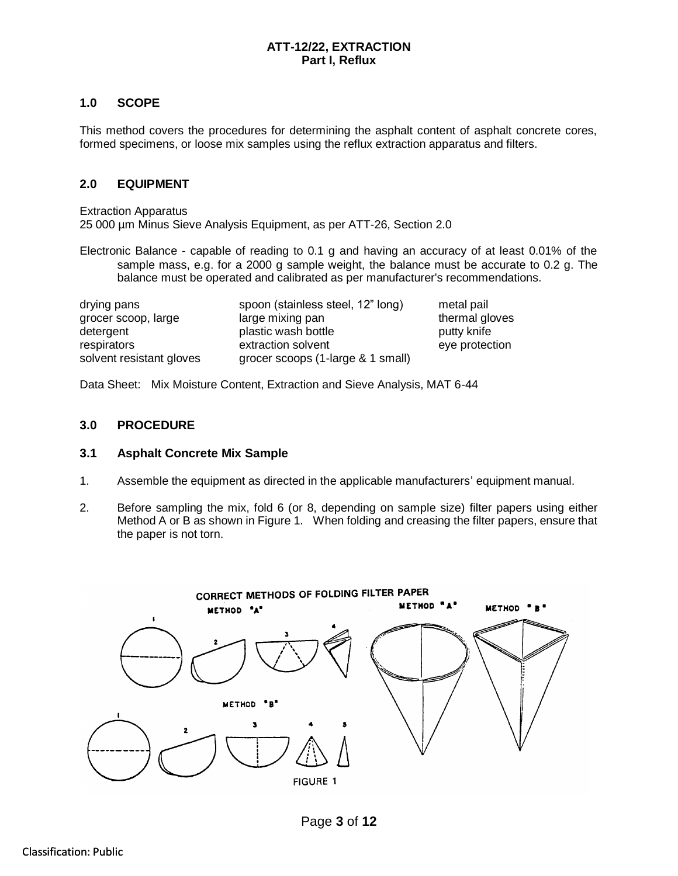### **ATT-12/22, EXTRACTION Part I, Reflux**

### **1.0 SCOPE**

This method covers the procedures for determining the asphalt content of asphalt concrete cores, formed specimens, or loose mix samples using the reflux extraction apparatus and filters.

### **2.0 EQUIPMENT**

Extraction Apparatus 25 000 µm Minus Sieve Analysis Equipment, as per ATT-26, Section 2.0

Electronic Balance - capable of reading to 0.1 g and having an accuracy of at least 0.01% of the sample mass, e.g. for a 2000 g sample weight, the balance must be accurate to 0.2 g. The balance must be operated and calibrated as per manufacturer's recommendations.

| drying pans              | spoon (stainless steel, 12" long) | metal pail     |
|--------------------------|-----------------------------------|----------------|
| grocer scoop, large      | large mixing pan                  | thermal gloves |
| detergent                | plastic wash bottle               | putty knife    |
| respirators              | extraction solvent                | eye protection |
| solvent resistant gloves | grocer scoops (1-large & 1 small) |                |

Data Sheet: Mix Moisture Content, Extraction and Sieve Analysis, MAT 6-44

#### **3.0 PROCEDURE**

#### **3.1 Asphalt Concrete Mix Sample**

- 1. Assemble the equipment as directed in the applicable manufacturers' equipment manual.
- 2. Before sampling the mix, fold 6 (or 8, depending on sample size) filter papers using either Method A or B as shown in Figure 1. When folding and creasing the filter papers, ensure that the paper is not torn.

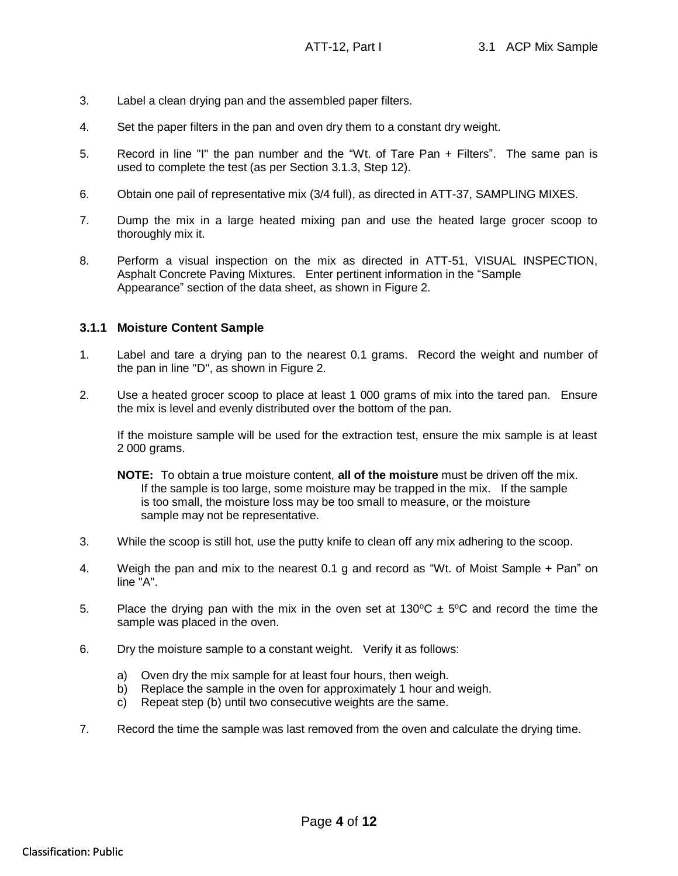- 3. Label a clean drying pan and the assembled paper filters.
- 4. Set the paper filters in the pan and oven dry them to a constant dry weight.
- 5. Record in line "I" the pan number and the "Wt. of Tare Pan + Filters". The same pan is used to complete the test (as per Section 3.1.3, Step 12).
- 6. Obtain one pail of representative mix (3/4 full), as directed in ATT-37, SAMPLING MIXES.
- 7. Dump the mix in a large heated mixing pan and use the heated large grocer scoop to thoroughly mix it.
- 8. Perform a visual inspection on the mix as directed in ATT-51, VISUAL INSPECTION, Asphalt Concrete Paving Mixtures. Enter pertinent information in the "Sample Appearance" section of the data sheet, as shown in Figure 2.

### **3.1.1 Moisture Content Sample**

- 1. Label and tare a drying pan to the nearest 0.1 grams. Record the weight and number of the pan in line "D", as shown in Figure 2.
- 2. Use a heated grocer scoop to place at least 1 000 grams of mix into the tared pan. Ensure the mix is level and evenly distributed over the bottom of the pan.

If the moisture sample will be used for the extraction test, ensure the mix sample is at least 2 000 grams.

- **NOTE:** To obtain a true moisture content, **all of the moisture** must be driven off the mix. If the sample is too large, some moisture may be trapped in the mix. If the sample is too small, the moisture loss may be too small to measure, or the moisture sample may not be representative.
- 3. While the scoop is still hot, use the putty knife to clean off any mix adhering to the scoop.
- 4. Weigh the pan and mix to the nearest 0.1 g and record as "Wt. of Moist Sample + Pan" on line "A".
- 5. Place the drying pan with the mix in the oven set at  $130^{\circ}C \pm 5^{\circ}C$  and record the time the sample was placed in the oven.
- 6. Dry the moisture sample to a constant weight. Verify it as follows:
	- a) Oven dry the mix sample for at least four hours, then weigh.<br>b) Replace the sample in the oven for approximately 1 hour and
	- Replace the sample in the oven for approximately 1 hour and weigh.
	- c) Repeat step (b) until two consecutive weights are the same.
- 7. Record the time the sample was last removed from the oven and calculate the drying time.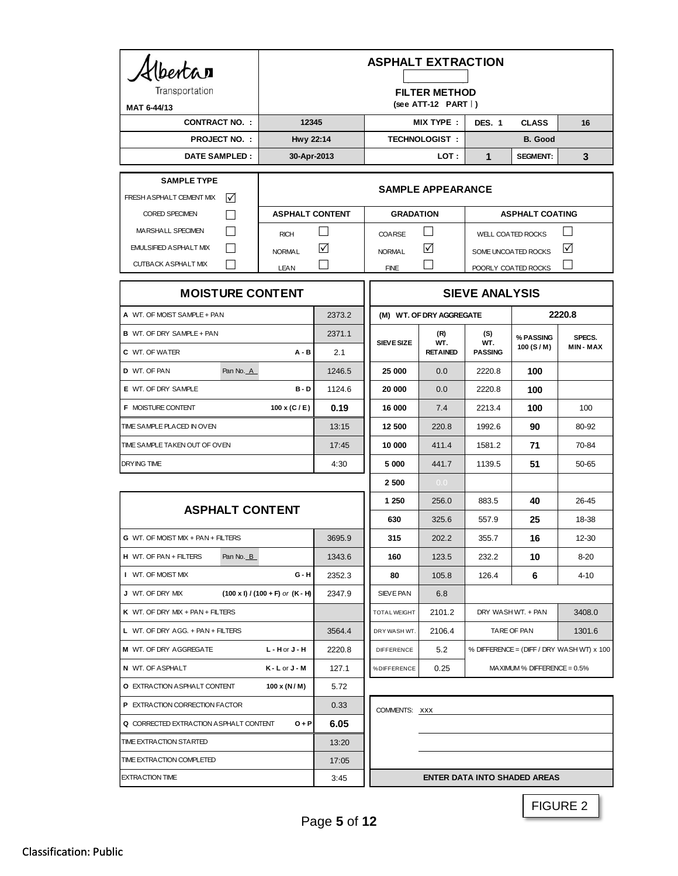| berta<br>Transportation                            |                                           | <b>ASPHALT EXTRACTION</b>                          |                                     |                                           |                                                  |                        |                                                      |  |
|----------------------------------------------------|-------------------------------------------|----------------------------------------------------|-------------------------------------|-------------------------------------------|--------------------------------------------------|------------------------|------------------------------------------------------|--|
| MAT 6-44/13                                        |                                           | <b>FILTER METHOD</b><br>(see ATT-12 PART $\vert$ ) |                                     |                                           |                                                  |                        |                                                      |  |
| <b>CONTRACT NO.:</b>                               | 12345                                     |                                                    | <b>MIX TYPE:</b>                    |                                           | <b>DES. 1</b><br><b>CLASS</b>                    |                        | 16                                                   |  |
|                                                    | <b>PROJECT NO.:</b><br>Hwy 22:14          |                                                    | <b>TECHNOLOGIST:</b>                |                                           | <b>B.</b> Good                                   |                        |                                                      |  |
|                                                    | <b>DATE SAMPLED:</b><br>30-Apr-2013       |                                                    | LOT :                               |                                           | 1                                                | <b>SEGMENT:</b>        | 3                                                    |  |
| <b>SAMPLE TYPE</b><br>FRESH A SPHALT CEMENT MIX    | M                                         |                                                    | <b>SAMPLE APPEARANCE</b>            |                                           |                                                  |                        |                                                      |  |
| <b>CORED SPECIMEN</b>                              |                                           | <b>ASPHALT CONTENT</b>                             |                                     | <b>GRADATION</b>                          |                                                  | <b>ASPHALT COATING</b> |                                                      |  |
| MARSHALL SPECIMEN                                  | <b>RICH</b>                               | - 1                                                | COARSE                              | $\Box$                                    |                                                  |                        | $\overline{\phantom{0}}$<br><b>WELL COATED ROCKS</b> |  |
| EMULSIFIED ASPHALT MIX                             | <b>NORMAL</b>                             | ☑                                                  | <b>NORMAL</b>                       | ☑                                         |                                                  | SOME UNCOATED ROCKS    | ☑                                                    |  |
| <b>CUTBACK ASPHALT MIX</b>                         | LEAN                                      |                                                    | <b>FINE</b>                         |                                           |                                                  | POORLY COATED ROCKS    |                                                      |  |
| <b>MOISTURE CONTENT</b>                            |                                           | <b>SIEVE ANALYSIS</b>                              |                                     |                                           |                                                  |                        |                                                      |  |
| A WT. OF MOIST SAMPLE + PAN                        |                                           | 2373.2                                             |                                     | (M) WT. OF DRY AGGREGATE                  | 2220.8                                           |                        |                                                      |  |
| <b>B</b> WT. OF DRY SAMPLE + PAN                   |                                           | 2371.1                                             | <b>SIEVE SIZE</b>                   | (R)<br>WT.                                | (S)<br>WT.                                       | % PASSING              | SPECS.                                               |  |
| <b>C</b> WT. OF WATER                              | <b>A - B</b>                              | 2.1                                                |                                     | <b>RETAINED</b>                           | <b>PASSING</b>                                   | 100 (S/M)              | <b>MIN-MAX</b>                                       |  |
| D WT. OF PAN                                       | Pan No. A                                 | 1246.5                                             | 25 000                              | 0.0                                       | 2220.8                                           | 100                    |                                                      |  |
| E WT. OF DRY SAMPLE                                | $B - D$                                   |                                                    | 20 000                              | 0.0                                       | 2220.8                                           | 100                    |                                                      |  |
| <b>F MOISTURE CONTENT</b>                          | 100 x (C / E)                             | 0.19                                               | 16 000                              | 7.4                                       | 2213.4                                           | 100                    | 100                                                  |  |
| TIME SAMPLE PLACED IN OVEN                         |                                           | 13:15                                              | 12 500                              | 220.8                                     | 1992.6                                           | 90                     | 80-92                                                |  |
| TIME SAMPLE TAKEN OUT OF OVEN                      |                                           | 17:45                                              | 10 000                              | 411.4                                     | 1581.2                                           | 71                     | 70-84                                                |  |
| DRYING TIME                                        |                                           | 4:30                                               | 5 000                               | 441.7                                     | 1139.5                                           | 51                     | 50-65                                                |  |
|                                                    |                                           |                                                    | 2 500                               | 0.0                                       |                                                  |                        |                                                      |  |
| <b>ASPHALT CONTENT</b>                             |                                           |                                                    | 1 250                               | 256.0                                     | 883.5                                            | 40                     | 26-45                                                |  |
|                                                    |                                           |                                                    | 630                                 | 325.6                                     | 557.9                                            | 25                     | 18-38                                                |  |
| G WT. OF MOIST MIX + PAN + FILTERS                 |                                           | 3695.9                                             | 315                                 | 202.2                                     | 355.7                                            | 16                     | 12-30                                                |  |
| <b>H</b> WT. OF PAN + FILTERS                      | Pan No. B                                 | 1343.6                                             | 160                                 | 123.5                                     | 232.2                                            | 10                     | $8 - 20$                                             |  |
| I WT. OF MOIST MIX                                 | G - H                                     | 2352.3                                             | 80                                  | 105.8                                     | 126.4                                            | 6                      | 4-10                                                 |  |
| J WT. OF DRY MIX                                   | $(100 \times I) / (100 + F)$ or $(K - H)$ | 2347.9                                             | SIEVE PAN                           | 6.8                                       |                                                  |                        |                                                      |  |
| K WT. OF DRY MIX + PAN + FILTERS                   |                                           |                                                    | TOTAL WEIGHT                        | 2101.2                                    | DRY WASH WT. + PAN                               |                        | 3408.0                                               |  |
| L WT. OF DRY AGG. + PAN + FILTERS                  |                                           | 3564.4                                             | DRY WASH WT.                        | 2106.4                                    | TARE OF PAN                                      |                        | 1301.6                                               |  |
| M WT. OF DRY AGGREGATE<br>L - H or J - H           |                                           | 2220.8                                             | DIFFERENCE                          | 5.2                                       | % DIFFERENCE = (DIFF / DRY WASH WT) $\times$ 100 |                        |                                                      |  |
| N WT. OF ASPHALT<br>$K - L$ or $J - M$             |                                           | 127.1                                              | %DIFFERENCE                         | 0.25<br>$MA$ XIMUM % DIFFERENCE = $0.5\%$ |                                                  |                        |                                                      |  |
| 100 x (N/M)<br><b>O</b> EXTRACTION ASPHALT CONTENT |                                           | 5.72                                               |                                     |                                           |                                                  |                        |                                                      |  |
| P EXTRACTION CORRECTION FACTOR                     |                                           | 0.33                                               | COMMENTS: XXX                       |                                           |                                                  |                        |                                                      |  |
| Q CORRECTED EXTRACTION A SPHALT CONTENT<br>$O + P$ |                                           | 6.05                                               |                                     |                                           |                                                  |                        |                                                      |  |
| TIME EXTRACTION STARTED                            |                                           | 13:20                                              |                                     |                                           |                                                  |                        |                                                      |  |
| TIME EXTRACTION COMPLETED                          |                                           | 17:05                                              |                                     |                                           |                                                  |                        |                                                      |  |
| <b>EXTRACTION TIME</b>                             |                                           | 3:45                                               | <b>ENTER DATA INTO SHADED AREAS</b> |                                           |                                                  |                        |                                                      |  |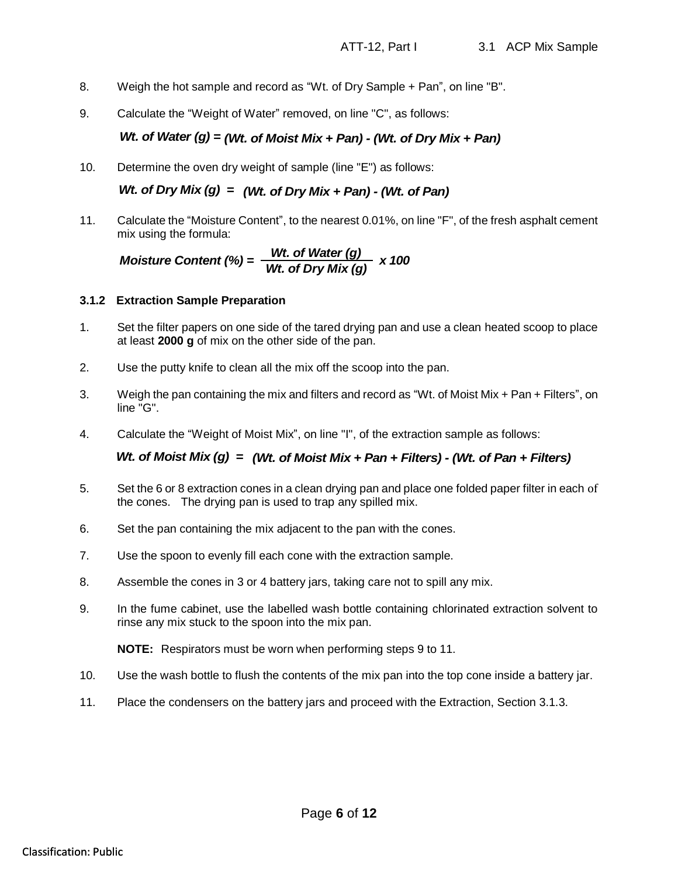- 8. Weigh the hot sample and record as "Wt. of Dry Sample + Pan", on line "B".
- 9. Calculate the "Weight of Water" removed, on line "C", as follows:

10. Determine the oven dry weight of sample (line "E") as follows:

11. Calculate the "Moisture Content", to the nearest 0.01%, on line "F", of the fresh asphalt cement mix using the formula:

Moisture Content (%) = 
$$
\frac{Wt. \text{ of Water (g)}}{Wt. \text{ of Dry Mix (g)}} \times 100
$$

#### **3.1.2 Extraction Sample Preparation**

- 1. Set the filter papers on one side of the tared drying pan and use a clean heated scoop to place at least **2000 g** of mix on the other side of the pan.
- 2. Use the putty knife to clean all the mix off the scoop into the pan.
- 3. Weigh the pan containing the mix and filters and record as "Wt. of Moist Mix + Pan + Filters", on line "G".
- 4. Calculate the "Weight of Moist Mix", on line "I", of the extraction sample as follows:

### *Wt. of Moist Mix (g) = (Wt. of Moist Mix + Pan + Filters) - (Wt. of Pan + Filters)*

- W. of Water (g) = *(Wt.* of Moist Mix + Pan) (Wt. of Dry Mix + Pan) (Wt. of Dry Mix + Pan) (Wt. of Dry Mix (g) = *(Wt. of Dry Mix + Pan)* (Wt. of Pan) (Wt. of Pan) (Wt. of Pan) (Wt. of Pan) (Wt. of Pan) ( 5. Set the 6 or 8 extraction cones in a clean drying pan and place one folded paper filter in each of the cones. The drying pan is used to trap any spilled mix.
	- 6. Set the pan containing the mix adjacent to the pan with the cones.
	- 7. Use the spoon to evenly fill each cone with the extraction sample.
	- 8. Assemble the cones in 3 or 4 battery jars, taking care not to spill any mix.
	- 9. In the fume cabinet, use the labelled wash bottle containing chlorinated extraction solvent to rinse any mix stuck to the spoon into the mix pan.

**NOTE:** Respirators must be worn when performing steps 9 to 11.

- 10. Use the wash bottle to flush the contents of the mix pan into the top cone inside a battery jar.
- 11. Place the condensers on the battery jars and proceed with the Extraction, Section 3.1.3.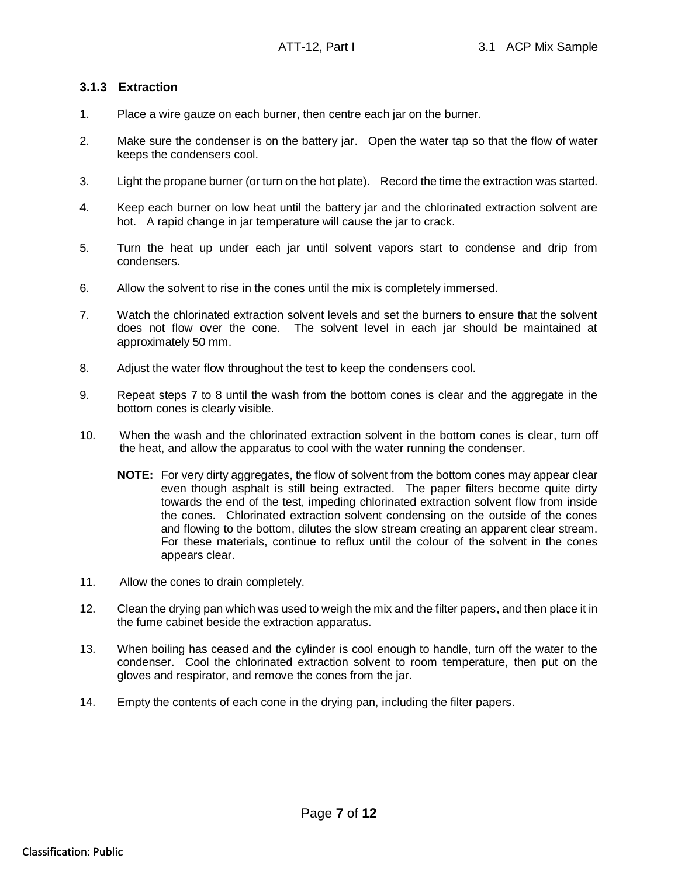### **3.1.3 Extraction**

- 1. Place a wire gauze on each burner, then centre each jar on the burner.
- 2. Make sure the condenser is on the battery jar. Open the water tap so that the flow of water keeps the condensers cool.
- 3. Light the propane burner (or turn on the hot plate). Record the time the extraction was started.
- 4. Keep each burner on low heat until the battery jar and the chlorinated extraction solvent are hot. A rapid change in jar temperature will cause the jar to crack.
- 5. Turn the heat up under each jar until solvent vapors start to condense and drip from condensers.
- 6. Allow the solvent to rise in the cones until the mix is completely immersed.
- 7. Watch the chlorinated extraction solvent levels and set the burners to ensure that the solvent does not flow over the cone. The solvent level in each jar should be maintained at approximately 50 mm.
- 8. Adjust the water flow throughout the test to keep the condensers cool.
- 9. Repeat steps 7 to 8 until the wash from the bottom cones is clear and the aggregate in the bottom cones is clearly visible.
- 10. When the wash and the chlorinated extraction solvent in the bottom cones is clear, turn off the heat, and allow the apparatus to cool with the water running the condenser.
	- **NOTE:** For very dirty aggregates, the flow of solvent from the bottom cones may appear clear even though asphalt is still being extracted. The paper filters become quite dirty towards the end of the test, impeding chlorinated extraction solvent flow from inside the cones. Chlorinated extraction solvent condensing on the outside of the cones and flowing to the bottom, dilutes the slow stream creating an apparent clear stream. For these materials, continue to reflux until the colour of the solvent in the cones appears clear.
- 11. Allow the cones to drain completely.
- 12. Clean the drying pan which was used to weigh the mix and the filter papers, and then place it in the fume cabinet beside the extraction apparatus.
- 13. When boiling has ceased and the cylinder is cool enough to handle, turn off the water to the condenser. Cool the chlorinated extraction solvent to room temperature, then put on the gloves and respirator, and remove the cones from the jar.
- 14. Empty the contents of each cone in the drying pan, including the filter papers.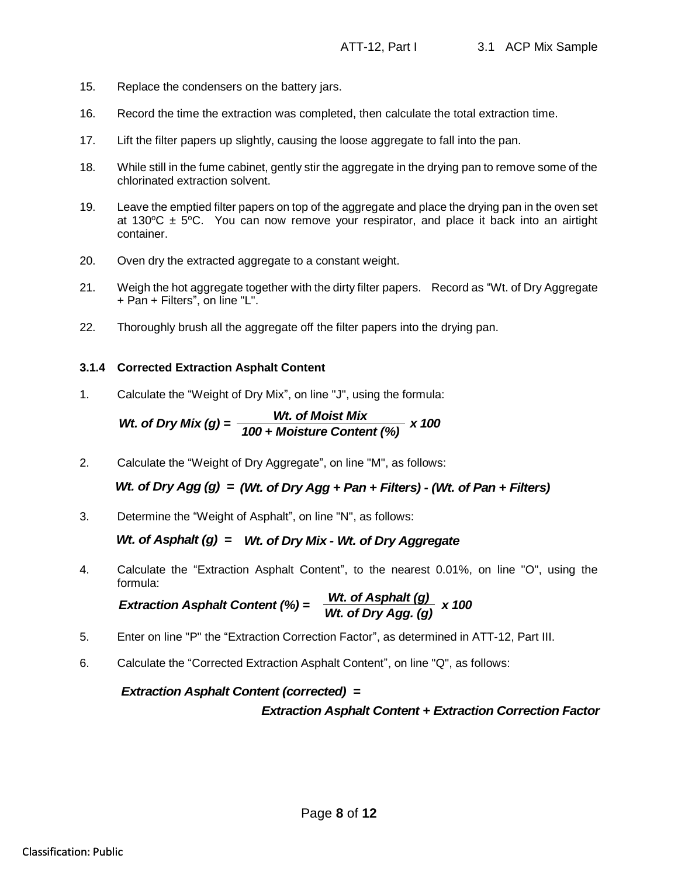- 15. Replace the condensers on the battery jars.
- 16. Record the time the extraction was completed, then calculate the total extraction time.
- 17. Lift the filter papers up slightly, causing the loose aggregate to fall into the pan.
- 18. While still in the fume cabinet, gently stir the aggregate in the drying pan to remove some of the chlorinated extraction solvent.
- 19. Leave the emptied filter papers on top of the aggregate and place the drying pan in the oven set at 130 $\degree$ C  $\pm$  5 $\degree$ C. You can now remove your respirator, and place it back into an airtight container.
- 20. Oven dry the extracted aggregate to a constant weight.
- 21. Weigh the hot aggregate together with the dirty filter papers. Record as "Wt. of Dry Aggregate + Pan + Filters", on line "L".
- 22. Thoroughly brush all the aggregate off the filter papers into the drying pan.

### **3.1.4 Corrected Extraction Asphalt Content**

1. Calculate the "Weight of Dry Mix", on line "J", using the formula:

*Wt.* of Dry Mix (g) = 
$$
\frac{Wt. \text{ of Moist Mix}}{100 + \text{Moisture Content (%)}} \times 100
$$

2. Calculate the "Weight of Dry Aggregate", on line "M", as follows:

*Wt. of Dry Agg (g) = (Wt. of Dry Agg + Pan + Filters) - (Wt. of Pan + Filters)*

3. Determine the "Weight of Asphalt", on line "N", as follows:

### *Wt. of Asphalt (g) = Wt. of Dry Mix - Wt. of Dry Aggregate*

4. Calculate the "Extraction Asphalt Content", to the nearest 0.01%, on line "O", using the formula:

*Extraction Asphalt Content (%) = 
$$
\frac{Wt. \text{ of Asphalt (g)}}{Wt. \text{ of Dry Agg. (g)}} \times 100
$$*

- 5. Enter on line "P" the "Extraction Correction Factor", as determined in ATT-12, Part III.
- 6. Calculate the "Corrected Extraction Asphalt Content", on line "Q", as follows:

### *Extraction Asphalt Content (corrected) =*

### *Extraction Asphalt Content + Extraction Correction Factor*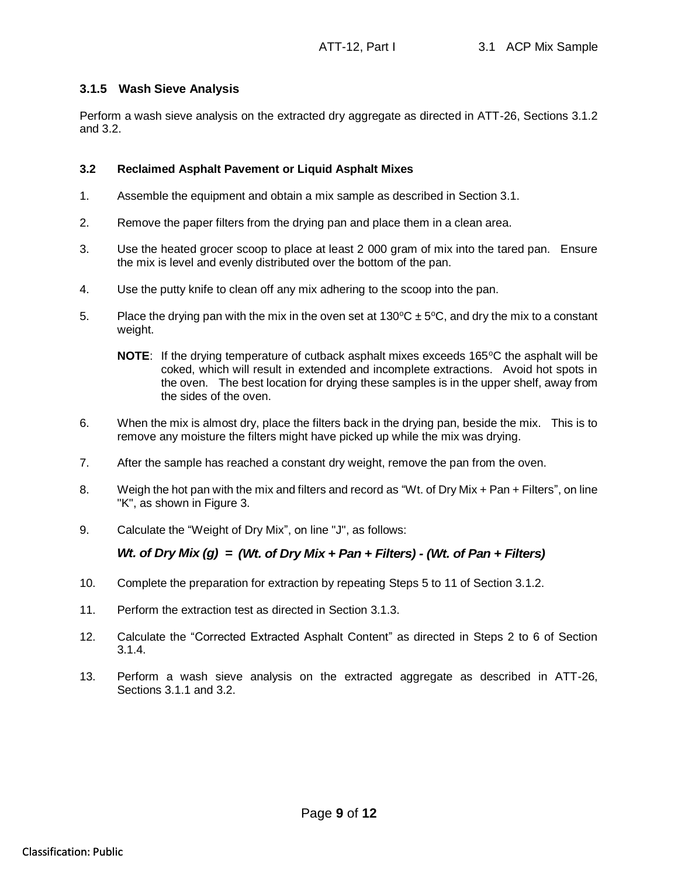### **3.1.5 Wash Sieve Analysis**

Perform a wash sieve analysis on the extracted dry aggregate as directed in ATT-26, Sections 3.1.2 and 3.2.

#### **3.2 Reclaimed Asphalt Pavement or Liquid Asphalt Mixes**

- 1. Assemble the equipment and obtain a mix sample as described in Section 3.1.
- 2. Remove the paper filters from the drying pan and place them in a clean area.
- 3. Use the heated grocer scoop to place at least 2 000 gram of mix into the tared pan. Ensure the mix is level and evenly distributed over the bottom of the pan.
- 4. Use the putty knife to clean off any mix adhering to the scoop into the pan.
- 5. Place the drying pan with the mix in the oven set at  $130^{\circ}C \pm 5^{\circ}C$ , and dry the mix to a constant weight.
	- **NOTE:** If the drying temperature of cutback asphalt mixes exceeds 165<sup>o</sup>C the asphalt will be coked, which will result in extended and incomplete extractions. Avoid hot spots in the oven. The best location for drying these samples is in the upper shelf, away from the sides of the oven.
- 6. When the mix is almost dry, place the filters back in the drying pan, beside the mix. This is to remove any moisture the filters might have picked up while the mix was drying.
- 7. After the sample has reached a constant dry weight, remove the pan from the oven.
- 8. Weigh the hot pan with the mix and filters and record as "Wt. of Dry Mix + Pan + Filters", on line "K", as shown in Figure 3.
- 9. Calculate the "Weight of Dry Mix", on line "J", as follows:

- 10. Complete the preparation for extraction by repeating Steps 5 to 11 of Section 3.1.2.
- 11. Perform the extraction test as directed in Section 3.1.3.
- Wt. of Dry Mix (g) = (Wt. of Dry Mix + Pan + Filters) (Wt. of Pan + Filters)<br>10. Complete the preparation for extraction by repeating Steps 5 to 11 of Section 3.1.2.<br>11. Perform the extraction test as directed in Sectio 12. Calculate the "Corrected Extracted Asphalt Content" as directed in Steps 2 to 6 of Section 3.1.4.
	- 13. Perform a wash sieve analysis on the extracted aggregate as described in ATT-26, Sections 3.1.1 and 3.2.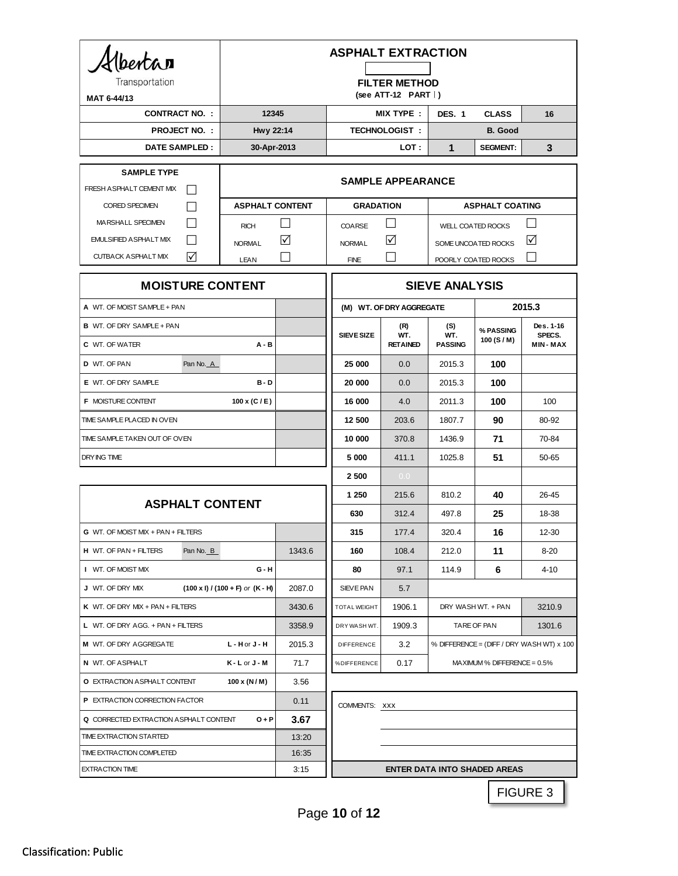| Hbertar<br>Transportation<br>MAT 6-44/13                              | <b>ASPHALT EXTRACTION</b><br><b>FILTER METHOD</b><br>$(see ATT-12 PART$ |               |                       |                               |                              |                                   |                                                  |
|-----------------------------------------------------------------------|-------------------------------------------------------------------------|---------------|-----------------------|-------------------------------|------------------------------|-----------------------------------|--------------------------------------------------|
| <b>CONTRACT NO. :</b>                                                 | 12345                                                                   |               |                       | <b>MIX TYPE:</b>              | <b>DES. 1</b>                | <b>CLASS</b>                      | 16                                               |
| <b>PROJECT NO.:</b>                                                   | Hwy 22:14                                                               |               | <b>TECHNOLOGIST:</b>  |                               | <b>B.</b> Good               |                                   |                                                  |
| <b>DATE SAMPLED:</b>                                                  | 30-Apr-2013                                                             |               |                       | LOT :                         | $\mathbf 1$                  | <b>SEGMENT:</b>                   | 3                                                |
| <b>SAMPLE TYPE</b><br>FRESH A SPHALT CEMENT MIX                       | <b>SAMPLE APPEARANCE</b>                                                |               |                       |                               |                              |                                   |                                                  |
| <b>CORED SPECIMEN</b>                                                 | <b>ASPHALT CONTENT</b>                                                  |               | <b>GRADATION</b>      |                               |                              | <b>ASPHALT COATING</b>            |                                                  |
| MARSHALL SPECIMEN                                                     | <b>RICH</b>                                                             | $\mathcal{L}$ | COARSE                | $\blacksquare$                |                              | <b>WELL COATED ROCKS</b>          |                                                  |
| <b>EMULSIFIED ASPHALT MIX</b>                                         | <b>NORMAL</b>                                                           | ☑             | <b>NORMAL</b>         | ☑                             | SOME UNCOATED ROCKS          |                                   | ☑                                                |
| <b>CUTBACK ASPHALT MIX</b><br>M                                       | LEAN                                                                    |               | <b>FINE</b>           |                               | POORLY COATED ROCKS          |                                   |                                                  |
| <b>MOISTURE CONTENT</b>                                               |                                                                         |               | <b>SIEVE ANALYSIS</b> |                               |                              |                                   |                                                  |
| A WT. OF MOIST SAMPLE + PAN                                           |                                                                         |               |                       | (M) WT. OF DRY AGGREGATE      |                              | 2015.3                            |                                                  |
| <b>B</b> WT. OF DRY SAMPLE + PAN<br><b>C</b> WT. OF WATER             | A - B                                                                   |               | <b>SIEVE SIZE</b>     | (R)<br>WT.<br><b>RETAINED</b> | (S)<br>WT.<br><b>PASSING</b> | % PASSING<br>100 (S/M)            | Des. 1-16<br>SPECS.<br>MIN-MAX                   |
| Pan No. A<br>D WT. OF PAN                                             |                                                                         |               | 25 000                | 0.0                           | 2015.3                       | 100                               |                                                  |
| E WT. OF DRY SAMPLE                                                   | B-D                                                                     |               | 20 000                | 0.0                           | 2015.3                       | 100                               |                                                  |
| <b>F MOISTURE CONTENT</b>                                             | 100 x (C / E)                                                           |               | 16 000                | 4.0                           | 2011.3                       | 100                               | 100                                              |
| TIME SAMPLE PLACED IN OVEN                                            |                                                                         |               | 12 500                | 203.6                         | 1807.7                       | 90                                | 80-92                                            |
| TIME SAMPLE TAKEN OUT OF OVEN                                         |                                                                         |               | 10 000                | 370.8                         | 1436.9                       | 71                                | 70-84                                            |
| DRYING TIME                                                           |                                                                         |               | 5 000                 | 411.1                         | 1025.8                       | 51                                | 50-65                                            |
|                                                                       |                                                                         |               | 2 500                 | 0.0                           |                              |                                   |                                                  |
| <b>ASPHALT CONTENT</b>                                                |                                                                         | 1 250         | 215.6                 | 810.2                         | 40                           | 26-45                             |                                                  |
|                                                                       |                                                                         |               | 630                   | 312.4                         | 497.8                        | 25                                | 18-38                                            |
| G WT. OF MOIST MIX + PAN + FILTERS                                    |                                                                         |               | 315                   | 177.4                         | 320.4                        | 16                                | 12-30                                            |
| H WT. OF PAN + FILTERS<br>Pan No. B                                   |                                                                         | 1343.6        | 160                   | 108.4                         | 212.0                        | 11                                | 8-20                                             |
| I WT. OF MOIST MIX                                                    | G - H                                                                   |               | 80                    | 97.1                          | 114.9                        | 6                                 | 4-10                                             |
| J WT. OF DRY MIX                                                      | $(100 \times I) / (100 + F)$ or $(K - H)$                               | 2087.0        | SIEVE PAN             | 5.7                           |                              |                                   |                                                  |
| K WT. OF DRY MIX + $PAN + FILTERS$                                    |                                                                         | 3430.6        | TOTAL WEIGHT          | 1906.1                        | DRY WASH WT. + PAN           |                                   | 3210.9                                           |
| L WT. OF DRY AGG. + PAN + FILTERS                                     |                                                                         | 3358.9        | DRY WASH WT.          | 1909.3                        |                              | TARE OF PAN                       | 1301.6                                           |
| M WT. OF DRY AGGREGATE                                                | $L - H$ or $J - H$                                                      | 2015.3        | <b>DIFFERENCE</b>     | 3.2                           |                              |                                   | % DIFFERENCE = $(DIFF / DRY WASH WT) \times 100$ |
| N WT. OF ASPHALT                                                      | $K - L$ or $J - M$                                                      | 71.7          | %DIFFERENCE           | 0.17                          |                              | $MA$ XIMUM % DIFFERENCE = $0.5\%$ |                                                  |
| O EXTRACTION ASPHALT CONTENT                                          | $100 \times (N/M)$                                                      | 3.56          |                       |                               |                              |                                   |                                                  |
| P EXTRACTION CORRECTION FACTOR                                        |                                                                         | 0.11          | COMMENTS: XXX         |                               |                              |                                   |                                                  |
| <b>Q CORRECTED EXTRACTION ASPHALT CONTENT</b>                         | $O + P$                                                                 | 3.67          |                       |                               |                              |                                   |                                                  |
| TIME EXTRACTION STARTED                                               |                                                                         | 13:20         |                       |                               |                              |                                   |                                                  |
| TIME EXTRACTION COMPLETED                                             |                                                                         | 16:35         |                       |                               |                              |                                   |                                                  |
| 3:15<br><b>ENTER DATA INTO SHADED AREAS</b><br><b>EXTRACTION TIME</b> |                                                                         |               |                       |                               |                              |                                   |                                                  |
| FIGURE 3                                                              |                                                                         |               |                       |                               |                              |                                   |                                                  |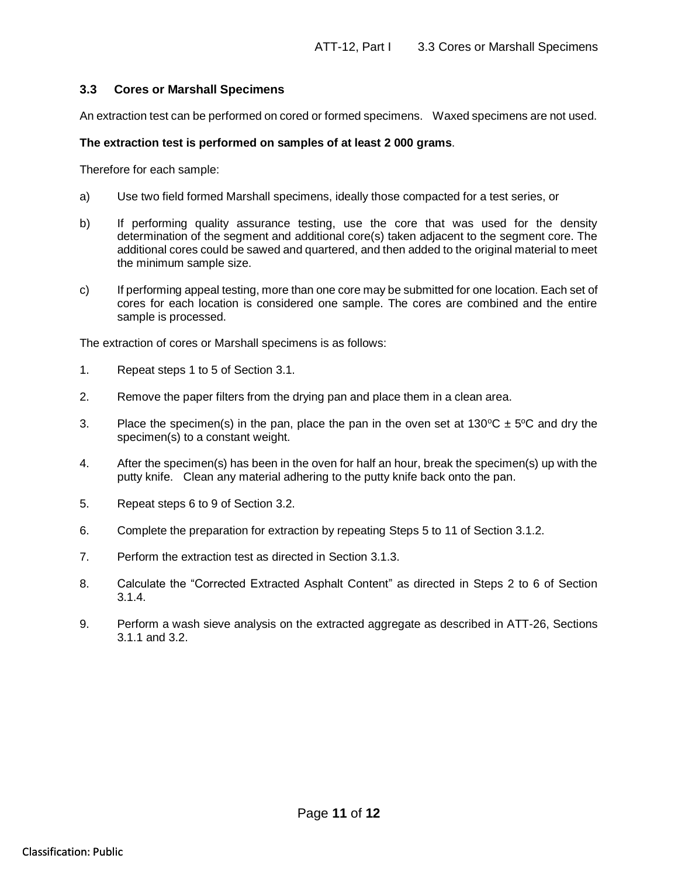### **3.3 Cores or Marshall Specimens**

An extraction test can be performed on cored or formed specimens. Waxed specimens are not used.

#### **The extraction test is performed on samples of at least 2 000 grams**.

Therefore for each sample:

- a) Use two field formed Marshall specimens, ideally those compacted for a test series, or
- b) If performing quality assurance testing, use the core that was used for the density determination of the segment and additional core(s) taken adjacent to the segment core. The additional cores could be sawed and quartered, and then added to the original material to meet the minimum sample size.
- c) If performing appeal testing, more than one core may be submitted for one location. Each set of cores for each location is considered one sample. The cores are combined and the entire sample is processed.

The extraction of cores or Marshall specimens is as follows:

- 1. Repeat steps 1 to 5 of Section 3.1.
- 2. Remove the paper filters from the drying pan and place them in a clean area.
- 3. Place the specimen(s) in the pan, place the pan in the oven set at  $130^{\circ}C \pm 5^{\circ}C$  and dry the specimen(s) to a constant weight.
- 4. After the specimen(s) has been in the oven for half an hour, break the specimen(s) up with the putty knife. Clean any material adhering to the putty knife back onto the pan.
- 5. Repeat steps 6 to 9 of Section 3.2.
- 6. Complete the preparation for extraction by repeating Steps 5 to 11 of Section 3.1.2.
- 7. Perform the extraction test as directed in Section 3.1.3.
- 8. Calculate the "Corrected Extracted Asphalt Content" as directed in Steps 2 to 6 of Section 3.1.4.
- 9. Perform a wash sieve analysis on the extracted aggregate as described in ATT-26, Sections 3.1.1 and 3.2.